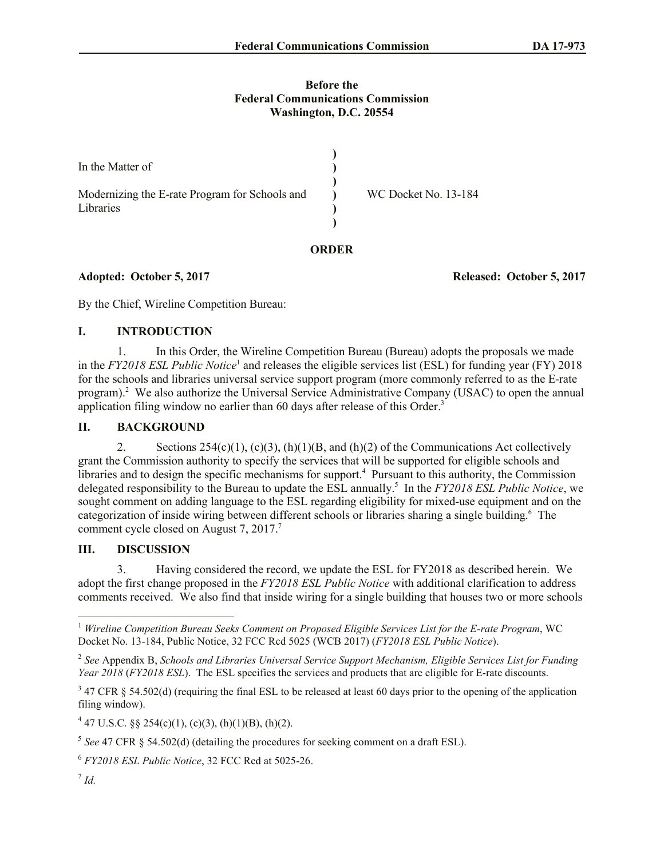#### **Before the Federal Communications Commission Washington, D.C. 20554**

| In the Matter of<br>Modernizing the E-rate Program for Schools and<br>Libraries |       | WC Docket No. 13-184 |
|---------------------------------------------------------------------------------|-------|----------------------|
|                                                                                 | ORDER |                      |

**Adopted: October 5, 2017 Released: October 5, 2017**

By the Chief, Wireline Competition Bureau:

### **I. INTRODUCTION**

1. In this Order, the Wireline Competition Bureau (Bureau) adopts the proposals we made in the *FY2018 ESL Public Notice*<sup>1</sup> and releases the eligible services list (ESL) for funding year (FY) 2018 for the schools and libraries universal service support program (more commonly referred to as the E-rate program).<sup>2</sup> We also authorize the Universal Service Administrative Company (USAC) to open the annual application filing window no earlier than 60 days after release of this Order. 3

# **II. BACKGROUND**

2. Sections  $254(c)(1)$ ,  $(c)(3)$ ,  $(h)(1)(B)$ , and  $(h)(2)$  of the Communications Act collectively grant the Commission authority to specify the services that will be supported for eligible schools and libraries and to design the specific mechanisms for support.<sup>4</sup> Pursuant to this authority, the Commission delegated responsibility to the Bureau to update the ESL annually.<sup>5</sup> In the *FY2018 ESL Public Notice*, we sought comment on adding language to the ESL regarding eligibility for mixed-use equipment and on the categorization of inside wiring between different schools or libraries sharing a single building.<sup>6</sup> The comment cycle closed on August 7, 2017. 7

#### **III. DISCUSSION**

3. Having considered the record, we update the ESL for FY2018 as described herein. We adopt the first change proposed in the *FY2018 ESL Public Notice* with additional clarification to address comments received. We also find that inside wiring for a single building that houses two or more schools

 $\overline{a}$ 

<sup>1</sup> *Wireline Competition Bureau Seeks Comment on Proposed Eligible Services List for the E-rate Program*, WC Docket No. 13-184, Public Notice, 32 FCC Rcd 5025 (WCB 2017) (*FY2018 ESL Public Notice*).

<sup>2</sup> *See* Appendix B, *Schools and Libraries Universal Service Support Mechanism, Eligible Services List for Funding Year 2018* (*FY2018 ESL*). The ESL specifies the services and products that are eligible for E-rate discounts.

 $3$  47 CFR § 54.502(d) (requiring the final ESL to be released at least 60 days prior to the opening of the application filing window).

 $4\overline{4}$  47 U.S.C. §§ 254(c)(1), (c)(3), (h)(1)(B), (h)(2).

 $<sup>5</sup>$  See 47 CFR § 54.502(d) (detailing the procedures for seeking comment on a draft ESL).</sup>

<sup>6</sup> *FY2018 ESL Public Notice*, 32 FCC Rcd at 5025-26.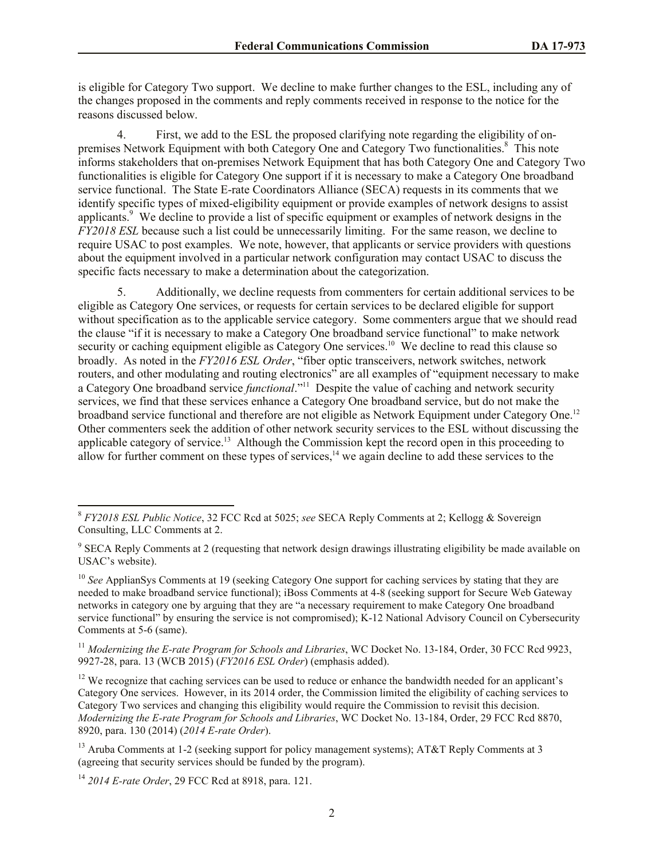is eligible for Category Two support. We decline to make further changes to the ESL, including any of the changes proposed in the comments and reply comments received in response to the notice for the reasons discussed below.

4. First, we add to the ESL the proposed clarifying note regarding the eligibility of onpremises Network Equipment with both Category One and Category Two functionalities.<sup>8</sup> This note informs stakeholders that on-premises Network Equipment that has both Category One and Category Two functionalities is eligible for Category One support if it is necessary to make a Category One broadband service functional. The State E-rate Coordinators Alliance (SECA) requests in its comments that we identify specific types of mixed-eligibility equipment or provide examples of network designs to assist applicants.<sup>9</sup> We decline to provide a list of specific equipment or examples of network designs in the *FY2018 ESL* because such a list could be unnecessarily limiting. For the same reason, we decline to require USAC to post examples. We note, however, that applicants or service providers with questions about the equipment involved in a particular network configuration may contact USAC to discuss the specific facts necessary to make a determination about the categorization.

5. Additionally, we decline requests from commenters for certain additional services to be eligible as Category One services, or requests for certain services to be declared eligible for support without specification as to the applicable service category. Some commenters argue that we should read the clause "if it is necessary to make a Category One broadband service functional" to make network security or caching equipment eligible as Category One services.<sup>10</sup> We decline to read this clause so broadly. As noted in the *FY2016 ESL Order*, "fiber optic transceivers, network switches, network routers, and other modulating and routing electronics" are all examples of "equipment necessary to make a Category One broadband service *functional*." 11 Despite the value of caching and network security services, we find that these services enhance a Category One broadband service, but do not make the broadband service functional and therefore are not eligible as Network Equipment under Category One.<sup>12</sup> Other commenters seek the addition of other network security services to the ESL without discussing the applicable category of service.<sup>13</sup> Although the Commission kept the record open in this proceeding to allow for further comment on these types of services,<sup>14</sup> we again decline to add these services to the

 $\overline{\phantom{a}}$ 

<sup>8</sup> *FY2018 ESL Public Notice*, 32 FCC Rcd at 5025; *see* SECA Reply Comments at 2; Kellogg & Sovereign Consulting, LLC Comments at 2.

<sup>&</sup>lt;sup>9</sup> SECA Reply Comments at 2 (requesting that network design drawings illustrating eligibility be made available on USAC's website).

<sup>&</sup>lt;sup>10</sup> See ApplianSys Comments at 19 (seeking Category One support for caching services by stating that they are needed to make broadband service functional); iBoss Comments at 4-8 (seeking support for Secure Web Gateway networks in category one by arguing that they are "a necessary requirement to make Category One broadband service functional" by ensuring the service is not compromised); K-12 National Advisory Council on Cybersecurity Comments at 5-6 (same).

<sup>11</sup> *Modernizing the E-rate Program for Schools and Libraries*, WC Docket No. 13-184, Order, 30 FCC Rcd 9923, 9927-28, para. 13 (WCB 2015) (*FY2016 ESL Order*) (emphasis added).

<sup>&</sup>lt;sup>12</sup> We recognize that caching services can be used to reduce or enhance the bandwidth needed for an applicant's Category One services. However, in its 2014 order, the Commission limited the eligibility of caching services to Category Two services and changing this eligibility would require the Commission to revisit this decision. *Modernizing the E-rate Program for Schools and Libraries*, WC Docket No. 13-184, Order, 29 FCC Rcd 8870, 8920, para. 130 (2014) (*2014 E-rate Order*).

<sup>&</sup>lt;sup>13</sup> Aruba Comments at 1-2 (seeking support for policy management systems); AT&T Reply Comments at 3 (agreeing that security services should be funded by the program).

<sup>14</sup> *2014 E-rate Order*, 29 FCC Rcd at 8918, para. 121.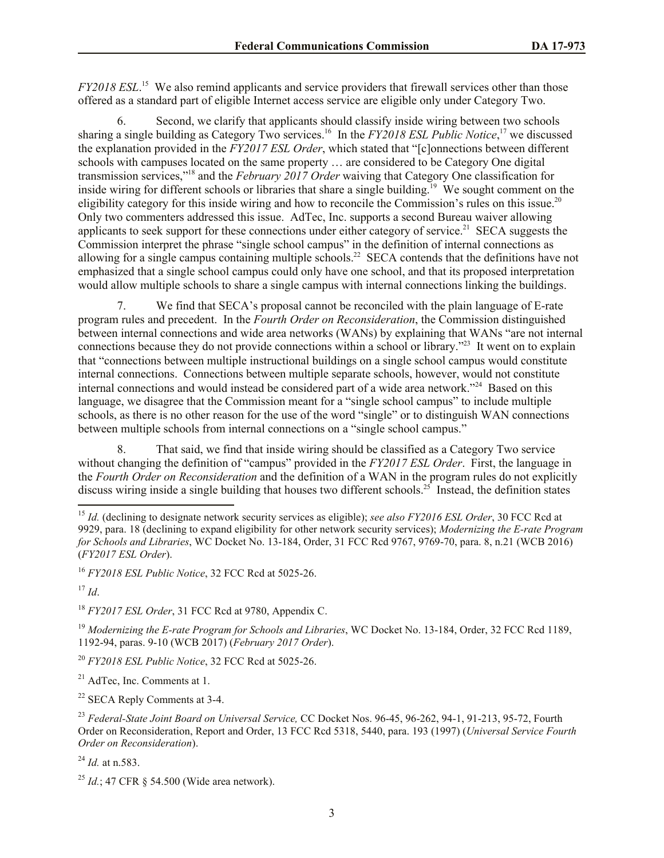*FY2018 ESL*.<sup>15</sup> We also remind applicants and service providers that firewall services other than those offered as a standard part of eligible Internet access service are eligible only under Category Two.

6. Second, we clarify that applicants should classify inside wiring between two schools sharing a single building as Category Two services.<sup>16</sup> In the *FY2018 ESL Public Notice*,<sup>17</sup> we discussed the explanation provided in the *FY2017 ESL Order*, which stated that "[c]onnections between different schools with campuses located on the same property … are considered to be Category One digital transmission services,"<sup>18</sup> and the *February 2017 Order* waiving that Category One classification for inside wiring for different schools or libraries that share a single building.<sup>19</sup> We sought comment on the eligibility category for this inside wiring and how to reconcile the Commission's rules on this issue.<sup>20</sup> Only two commenters addressed this issue. AdTec, Inc. supports a second Bureau waiver allowing applicants to seek support for these connections under either category of service.<sup>21</sup> SECA suggests the Commission interpret the phrase "single school campus" in the definition of internal connections as allowing for a single campus containing multiple schools.<sup>22</sup> SECA contends that the definitions have not emphasized that a single school campus could only have one school, and that its proposed interpretation would allow multiple schools to share a single campus with internal connections linking the buildings.

7. We find that SECA's proposal cannot be reconciled with the plain language of E-rate program rules and precedent. In the *Fourth Order on Reconsideration*, the Commission distinguished between internal connections and wide area networks (WANs) by explaining that WANs "are not internal connections because they do not provide connections within a school or library."<sup>23</sup> It went on to explain that "connections between multiple instructional buildings on a single school campus would constitute internal connections. Connections between multiple separate schools, however, would not constitute internal connections and would instead be considered part of a wide area network."<sup>24</sup> Based on this language, we disagree that the Commission meant for a "single school campus" to include multiple schools, as there is no other reason for the use of the word "single" or to distinguish WAN connections between multiple schools from internal connections on a "single school campus."

8. That said, we find that inside wiring should be classified as a Category Two service without changing the definition of "campus" provided in the *FY2017 ESL Order*. First, the language in the *Fourth Order on Reconsideration* and the definition of a WAN in the program rules do not explicitly discuss wiring inside a single building that houses two different schools.<sup>25</sup> Instead, the definition states

 $17$  *Id.* 

 $\overline{a}$ 

<sup>18</sup> *FY2017 ESL Order*, 31 FCC Rcd at 9780, Appendix C.

<sup>19</sup> *Modernizing the E-rate Program for Schools and Libraries*, WC Docket No. 13-184, Order, 32 FCC Rcd 1189, 1192-94, paras. 9-10 (WCB 2017) (*February 2017 Order*).

<sup>20</sup> *FY2018 ESL Public Notice*, 32 FCC Rcd at 5025-26.

 $21$  AdTec, Inc. Comments at 1.

 $22$  SECA Reply Comments at 3-4.

<sup>23</sup> *Federal-State Joint Board on Universal Service,* CC Docket Nos. 96-45, 96-262, 94-1, 91-213, 95-72, Fourth Order on Reconsideration, Report and Order, 13 FCC Rcd 5318, 5440, para. 193 (1997) (*Universal Service Fourth Order on Reconsideration*).

<sup>24</sup> *Id.* at n.583.

<sup>&</sup>lt;sup>15</sup> *Id.* (declining to designate network security services as eligible); see also FY2016 ESL Order, 30 FCC Rcd at 9929, para. 18 (declining to expand eligibility for other network security services); *Modernizing the E-rate Program for Schools and Libraries*, WC Docket No. 13-184, Order, 31 FCC Rcd 9767, 9769-70, para. 8, n.21 (WCB 2016) (*FY2017 ESL Order*).

<sup>16</sup> *FY2018 ESL Public Notice*, 32 FCC Rcd at 5025-26.

<sup>25</sup> *Id.*; 47 CFR § 54.500 (Wide area network).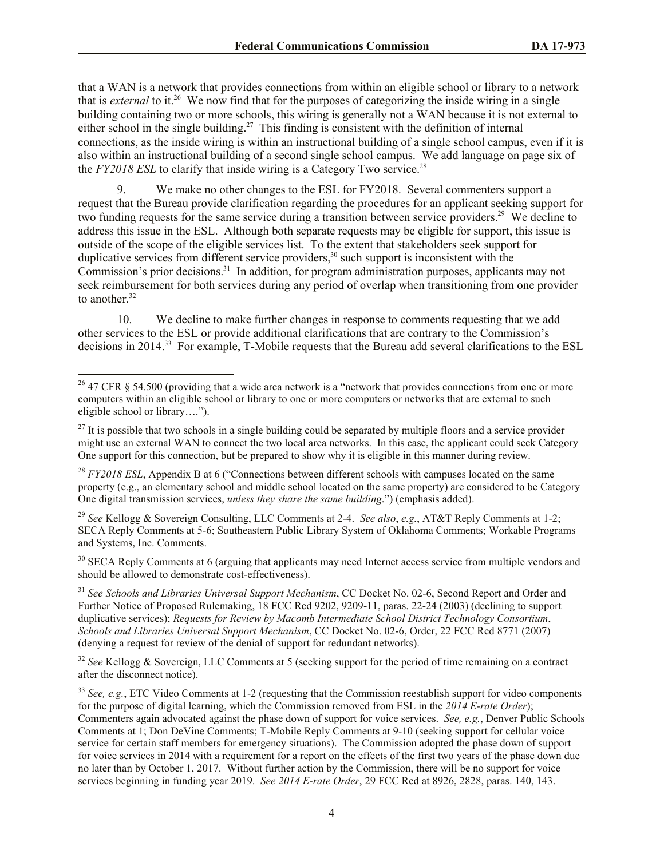that a WAN is a network that provides connections from within an eligible school or library to a network that is *external* to it.<sup>26</sup> We now find that for the purposes of categorizing the inside wiring in a single building containing two or more schools, this wiring is generally not a WAN because it is not external to either school in the single building.<sup>27</sup> This finding is consistent with the definition of internal connections, as the inside wiring is within an instructional building of a single school campus, even if it is also within an instructional building of a second single school campus. We add language on page six of the *FY2018 ESL* to clarify that inside wiring is a Category Two service.<sup>28</sup>

9. We make no other changes to the ESL for FY2018. Several commenters support a request that the Bureau provide clarification regarding the procedures for an applicant seeking support for two funding requests for the same service during a transition between service providers.<sup>29</sup> We decline to address this issue in the ESL. Although both separate requests may be eligible for support, this issue is outside of the scope of the eligible services list. To the extent that stakeholders seek support for duplicative services from different service providers,<sup>30</sup> such support is inconsistent with the Commission's prior decisions.<sup>31</sup> In addition, for program administration purposes, applicants may not seek reimbursement for both services during any period of overlap when transitioning from one provider to another.<sup>32</sup>

10. We decline to make further changes in response to comments requesting that we add other services to the ESL or provide additional clarifications that are contrary to the Commission's decisions in 2014.<sup>33</sup> For example, T-Mobile requests that the Bureau add several clarifications to the ESL

 $\overline{a}$ 

<sup>29</sup> *See* Kellogg & Sovereign Consulting, LLC Comments at 2-4. *See also*, *e.g.*, AT&T Reply Comments at 1-2; SECA Reply Comments at 5-6; Southeastern Public Library System of Oklahoma Comments; Workable Programs and Systems, Inc. Comments.

<sup>30</sup> SECA Reply Comments at 6 (arguing that applicants may need Internet access service from multiple vendors and should be allowed to demonstrate cost-effectiveness).

<sup>31</sup> See Schools and Libraries Universal Support Mechanism, CC Docket No. 02-6, Second Report and Order and Further Notice of Proposed Rulemaking, 18 FCC Rcd 9202, 9209-11, paras. 22-24 (2003) (declining to support duplicative services); *Requests for Review by Macomb Intermediate School District Technology Consortium*, *Schools and Libraries Universal Support Mechanism*, CC Docket No. 02-6, Order, 22 FCC Rcd 8771 (2007) (denying a request for review of the denial of support for redundant networks).

<sup>32</sup> See Kellogg & Sovereign, LLC Comments at 5 (seeking support for the period of time remaining on a contract after the disconnect notice).

<sup>33</sup> *See, e.g.*, ETC Video Comments at 1-2 (requesting that the Commission reestablish support for video components for the purpose of digital learning, which the Commission removed from ESL in the *2014 E-rate Order*); Commenters again advocated against the phase down of support for voice services. *See, e.g.*, Denver Public Schools Comments at 1; Don DeVine Comments; T-Mobile Reply Comments at 9-10 (seeking support for cellular voice service for certain staff members for emergency situations). The Commission adopted the phase down of support for voice services in 2014 with a requirement for a report on the effects of the first two years of the phase down due no later than by October 1, 2017. Without further action by the Commission, there will be no support for voice services beginning in funding year 2019. *See 2014 E-rate Order*, 29 FCC Rcd at 8926, 2828, paras. 140, 143.

<sup>&</sup>lt;sup>26</sup> 47 CFR  $\&$  54.500 (providing that a wide area network is a "network that provides connections from one or more computers within an eligible school or library to one or more computers or networks that are external to such eligible school or library….").

 $27$  It is possible that two schools in a single building could be separated by multiple floors and a service provider might use an external WAN to connect the two local area networks. In this case, the applicant could seek Category One support for this connection, but be prepared to show why it is eligible in this manner during review.

<sup>&</sup>lt;sup>28</sup> *FY2018 ESL*, Appendix B at 6 ("Connections between different schools with campuses located on the same property (e.g., an elementary school and middle school located on the same property) are considered to be Category One digital transmission services, *unless they share the same building*.") (emphasis added).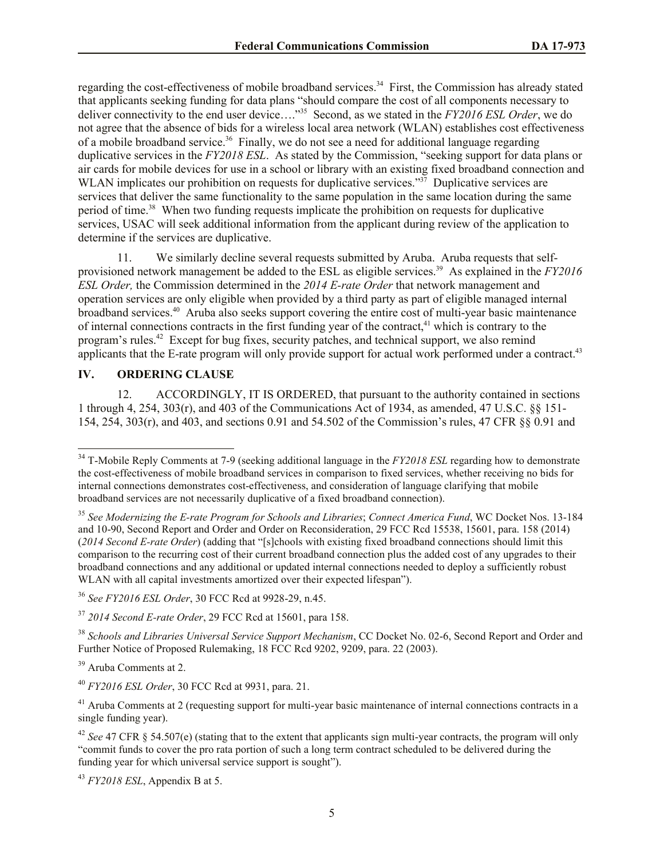regarding the cost-effectiveness of mobile broadband services.<sup>34</sup> First, the Commission has already stated that applicants seeking funding for data plans "should compare the cost of all components necessary to deliver connectivity to the end user device…." <sup>35</sup> Second, as we stated in the *FY2016 ESL Order*, we do not agree that the absence of bids for a wireless local area network (WLAN) establishes cost effectiveness of a mobile broadband service.<sup>36</sup> Finally, we do not see a need for additional language regarding duplicative services in the *FY2018 ESL*. As stated by the Commission, "seeking support for data plans or air cards for mobile devices for use in a school or library with an existing fixed broadband connection and WLAN implicates our prohibition on requests for duplicative services."<sup>37</sup> Duplicative services are services that deliver the same functionality to the same population in the same location during the same period of time.<sup>38</sup> When two funding requests implicate the prohibition on requests for duplicative services, USAC will seek additional information from the applicant during review of the application to determine if the services are duplicative.

11. We similarly decline several requests submitted by Aruba. Aruba requests that selfprovisioned network management be added to the ESL as eligible services.<sup>39</sup> As explained in the *FY2016 ESL Order,* the Commission determined in the *2014 E-rate Order* that network management and operation services are only eligible when provided by a third party as part of eligible managed internal broadband services.<sup>40</sup> Aruba also seeks support covering the entire cost of multi-year basic maintenance of internal connections contracts in the first funding year of the contract,<sup>41</sup> which is contrary to the program's rules.<sup>42</sup> Except for bug fixes, security patches, and technical support, we also remind applicants that the E-rate program will only provide support for actual work performed under a contract.<sup>43</sup>

# **IV. ORDERING CLAUSE**

 $\overline{\phantom{a}}$ 

12. ACCORDINGLY, IT IS ORDERED, that pursuant to the authority contained in sections 1 through 4, 254, 303(r), and 403 of the Communications Act of 1934, as amended, 47 U.S.C. §§ 151- 154, 254, 303(r), and 403, and sections 0.91 and 54.502 of the Commission's rules, 47 CFR §§ 0.91 and

<sup>43</sup> *FY2018 ESL*, Appendix B at 5.

<sup>&</sup>lt;sup>34</sup> T-Mobile Reply Comments at 7-9 (seeking additional language in the *FY2018 ESL* regarding how to demonstrate the cost-effectiveness of mobile broadband services in comparison to fixed services, whether receiving no bids for internal connections demonstrates cost-effectiveness, and consideration of language clarifying that mobile broadband services are not necessarily duplicative of a fixed broadband connection).

<sup>35</sup> *See Modernizing the E-rate Program for Schools and Libraries*; *Connect America Fund*, WC Docket Nos. 13-184 and 10-90, Second Report and Order and Order on Reconsideration, 29 FCC Rcd 15538, 15601, para. 158 (2014) (*2014 Second E-rate Order*) (adding that "[s]chools with existing fixed broadband connections should limit this comparison to the recurring cost of their current broadband connection plus the added cost of any upgrades to their broadband connections and any additional or updated internal connections needed to deploy a sufficiently robust WLAN with all capital investments amortized over their expected lifespan").

<sup>36</sup> *See FY2016 ESL Order*, 30 FCC Rcd at 9928-29, n.45.

<sup>37</sup> *2014 Second E-rate Order*, 29 FCC Rcd at 15601, para 158.

<sup>38</sup> *Schools and Libraries Universal Service Support Mechanism*, CC Docket No. 02-6, Second Report and Order and Further Notice of Proposed Rulemaking, 18 FCC Rcd 9202, 9209, para. 22 (2003).

<sup>39</sup> Aruba Comments at 2.

<sup>40</sup> *FY2016 ESL Order*, 30 FCC Rcd at 9931, para. 21.

<sup>&</sup>lt;sup>41</sup> Aruba Comments at 2 (requesting support for multi-year basic maintenance of internal connections contracts in a single funding year).

<sup>42</sup> *See* 47 CFR § 54.507(e) (stating that to the extent that applicants sign multi-year contracts, the program will only "commit funds to cover the pro rata portion of such a long term contract scheduled to be delivered during the funding year for which universal service support is sought").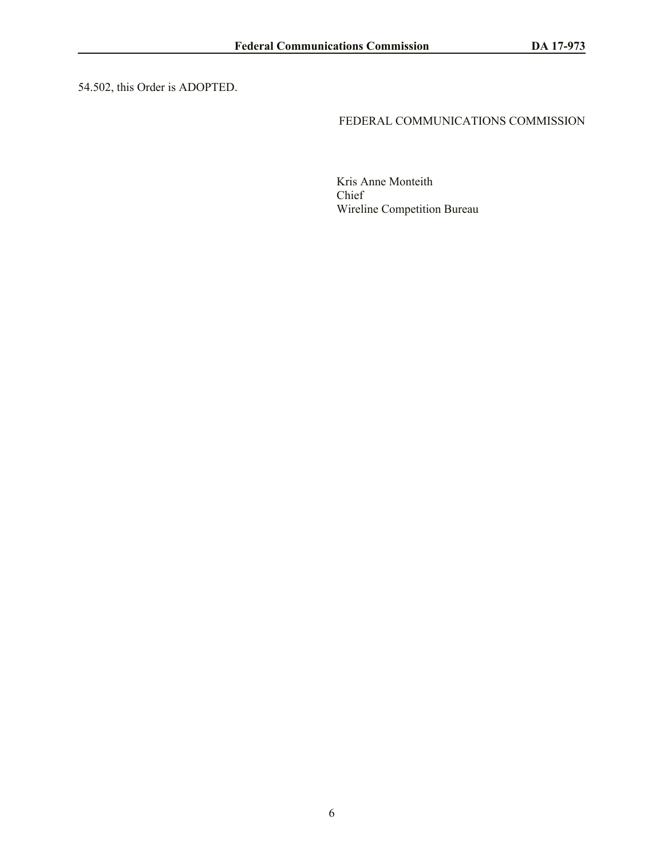54.502, this Order is ADOPTED.

#### FEDERAL COMMUNICATIONS COMMISSION

Kris Anne Monteith Chief Wireline Competition Bureau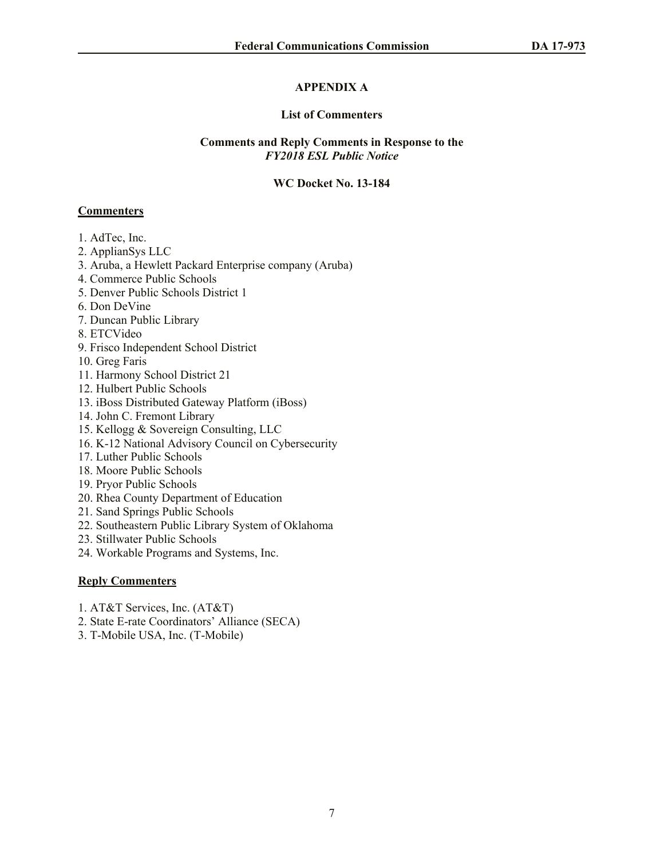# **APPENDIX A**

#### **List of Commenters**

#### **Comments and Reply Comments in Response to the**  *FY2018 ESL Public Notice*

#### **WC Docket No. 13-184**

## **Commenters**

- 1. AdTec, Inc.
- 2. ApplianSys LLC
- 3. Aruba, a Hewlett Packard Enterprise company (Aruba)
- 4. Commerce Public Schools
- 5. Denver Public Schools District 1
- 6. Don DeVine
- 7. Duncan Public Library
- 8. ETCVideo
- 9. Frisco Independent School District
- 10. Greg Faris
- 11. Harmony School District 21
- 12. Hulbert Public Schools
- 13. iBoss Distributed Gateway Platform (iBoss)
- 14. John C. Fremont Library
- 15. Kellogg & Sovereign Consulting, LLC
- 16. K-12 National Advisory Council on Cybersecurity
- 17. Luther Public Schools
- 18. Moore Public Schools
- 19. Pryor Public Schools
- 20. Rhea County Department of Education
- 21. Sand Springs Public Schools
- 22. Southeastern Public Library System of Oklahoma
- 23. Stillwater Public Schools
- 24. Workable Programs and Systems, Inc.

# **Reply Commenters**

- 1. AT&T Services, Inc. (AT&T)
- 2. State E-rate Coordinators' Alliance (SECA)
- 3. T-Mobile USA, Inc. (T-Mobile)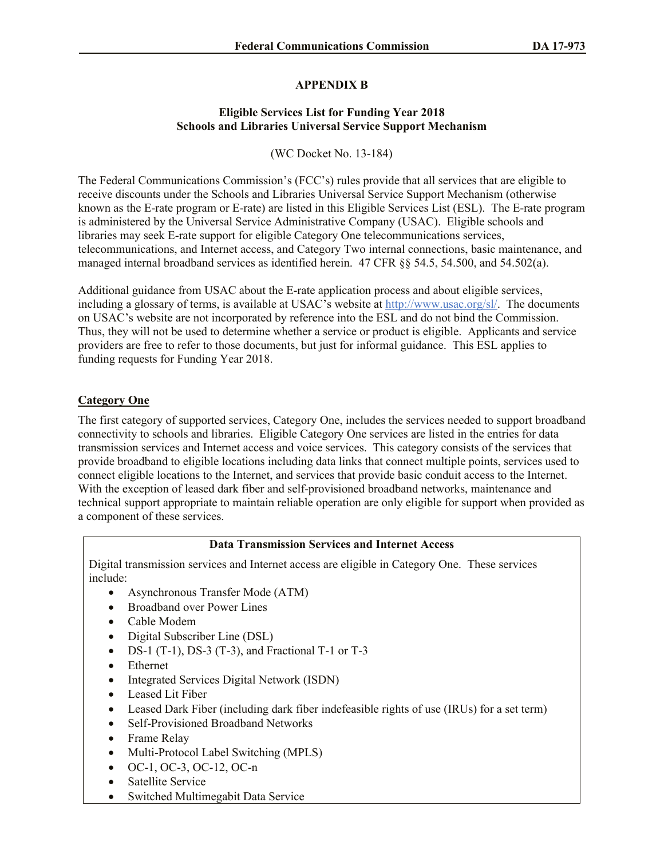# **APPENDIX B**

## **Eligible Services List for Funding Year 2018 Schools and Libraries Universal Service Support Mechanism**

(WC Docket No. 13-184)

The Federal Communications Commission's (FCC's) rules provide that all services that are eligible to receive discounts under the Schools and Libraries Universal Service Support Mechanism (otherwise known as the E-rate program or E-rate) are listed in this Eligible Services List (ESL). The E-rate program is administered by the Universal Service Administrative Company (USAC). Eligible schools and libraries may seek E-rate support for eligible Category One telecommunications services, telecommunications, and Internet access, and Category Two internal connections, basic maintenance, and managed internal broadband services as identified herein. 47 CFR §§ 54.5, 54.500, and 54.502(a).

Additional guidance from USAC about the E-rate application process and about eligible services, including a glossary of terms, is available at USAC's website at http://www.usac.org/sl/. The documents on USAC's website are not incorporated by reference into the ESL and do not bind the Commission. Thus, they will not be used to determine whether a service or product is eligible. Applicants and service providers are free to refer to those documents, but just for informal guidance. This ESL applies to funding requests for Funding Year 2018.

# **Category One**

The first category of supported services, Category One, includes the services needed to support broadband connectivity to schools and libraries. Eligible Category One services are listed in the entries for data transmission services and Internet access and voice services. This category consists of the services that provide broadband to eligible locations including data links that connect multiple points, services used to connect eligible locations to the Internet, and services that provide basic conduit access to the Internet. With the exception of leased dark fiber and self-provisioned broadband networks, maintenance and technical support appropriate to maintain reliable operation are only eligible for support when provided as a component of these services.

#### **Data Transmission Services and Internet Access**

Digital transmission services and Internet access are eligible in Category One. These services include:

- Asynchronous Transfer Mode (ATM)
- Broadband over Power Lines
- Cable Modem
- Digital Subscriber Line (DSL)
- DS-1 (T-1), DS-3 (T-3), and Fractional T-1 or T-3
- Ethernet
- Integrated Services Digital Network (ISDN)
- Leased Lit Fiber
- Leased Dark Fiber (including dark fiber indefeasible rights of use (IRUs) for a set term)
- Self-Provisioned Broadband Networks
- Frame Relay
- Multi-Protocol Label Switching (MPLS)
- OC-1, OC-3, OC-12, OC-n
- Satellite Service
- Switched Multimegabit Data Service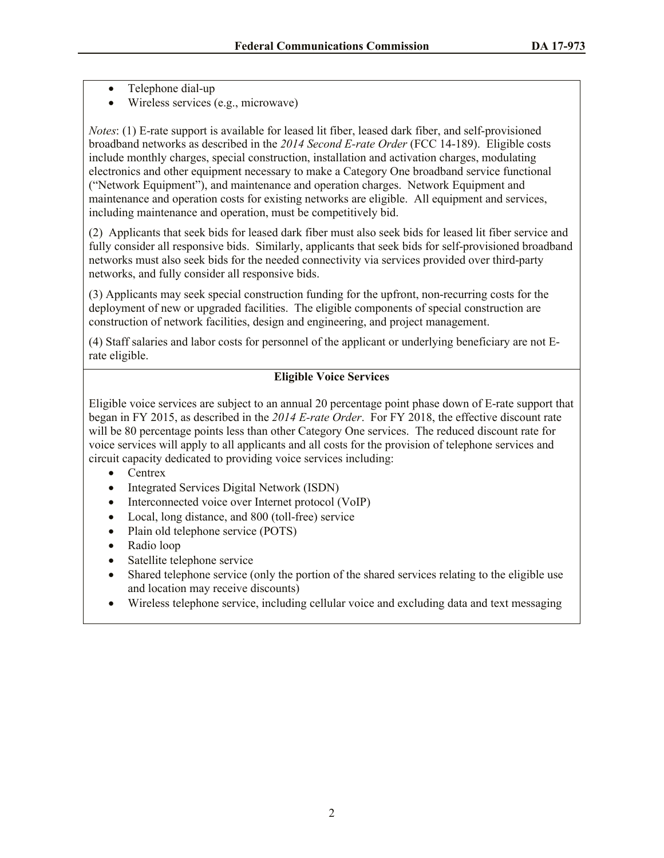- Telephone dial-up
- Wireless services (e.g., microwave)

*Notes*: (1) E-rate support is available for leased lit fiber, leased dark fiber, and self-provisioned broadband networks as described in the *2014 Second E-rate Order* (FCC 14-189). Eligible costs include monthly charges, special construction, installation and activation charges, modulating electronics and other equipment necessary to make a Category One broadband service functional ("Network Equipment"), and maintenance and operation charges. Network Equipment and maintenance and operation costs for existing networks are eligible. All equipment and services, including maintenance and operation, must be competitively bid.

(2) Applicants that seek bids for leased dark fiber must also seek bids for leased lit fiber service and fully consider all responsive bids. Similarly, applicants that seek bids for self-provisioned broadband networks must also seek bids for the needed connectivity via services provided over third-party networks, and fully consider all responsive bids.

(3) Applicants may seek special construction funding for the upfront, non-recurring costs for the deployment of new or upgraded facilities. The eligible components of special construction are construction of network facilities, design and engineering, and project management.

(4) Staff salaries and labor costs for personnel of the applicant or underlying beneficiary are not Erate eligible.

# **Eligible Voice Services**

Eligible voice services are subject to an annual 20 percentage point phase down of E-rate support that began in FY 2015, as described in the *2014 E-rate Order*. For FY 2018, the effective discount rate will be 80 percentage points less than other Category One services. The reduced discount rate for voice services will apply to all applicants and all costs for the provision of telephone services and circuit capacity dedicated to providing voice services including:

- Centrex
- Integrated Services Digital Network (ISDN)
- Interconnected voice over Internet protocol (VoIP)
- Local, long distance, and 800 (toll-free) service
- Plain old telephone service (POTS)
- Radio loop
- Satellite telephone service
- Shared telephone service (only the portion of the shared services relating to the eligible use and location may receive discounts)
- Wireless telephone service, including cellular voice and excluding data and text messaging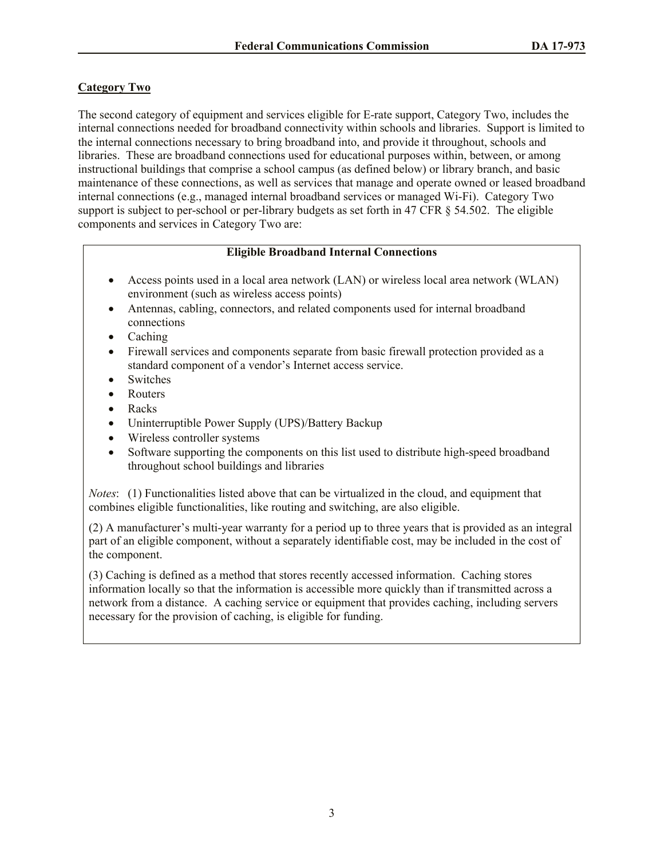# **Category Two**

The second category of equipment and services eligible for E-rate support, Category Two, includes the internal connections needed for broadband connectivity within schools and libraries. Support is limited to the internal connections necessary to bring broadband into, and provide it throughout, schools and libraries. These are broadband connections used for educational purposes within, between, or among instructional buildings that comprise a school campus (as defined below) or library branch, and basic maintenance of these connections, as well as services that manage and operate owned or leased broadband internal connections (e.g., managed internal broadband services or managed Wi-Fi). Category Two support is subject to per-school or per-library budgets as set forth in 47 CFR § 54.502. The eligible components and services in Category Two are:

## **Eligible Broadband Internal Connections**

- Access points used in a local area network (LAN) or wireless local area network (WLAN) environment (such as wireless access points)
- Antennas, cabling, connectors, and related components used for internal broadband connections
- Caching
- Firewall services and components separate from basic firewall protection provided as a standard component of a vendor's Internet access service.
- Switches
- Routers
- Racks
- Uninterruptible Power Supply (UPS)/Battery Backup
- Wireless controller systems
- Software supporting the components on this list used to distribute high-speed broadband throughout school buildings and libraries

*Notes*: (1) Functionalities listed above that can be virtualized in the cloud, and equipment that combines eligible functionalities, like routing and switching, are also eligible.

(2) A manufacturer's multi-year warranty for a period up to three years that is provided as an integral part of an eligible component, without a separately identifiable cost, may be included in the cost of the component.

(3) Caching is defined as a method that stores recently accessed information. Caching stores information locally so that the information is accessible more quickly than if transmitted across a network from a distance. A caching service or equipment that provides caching, including servers necessary for the provision of caching, is eligible for funding.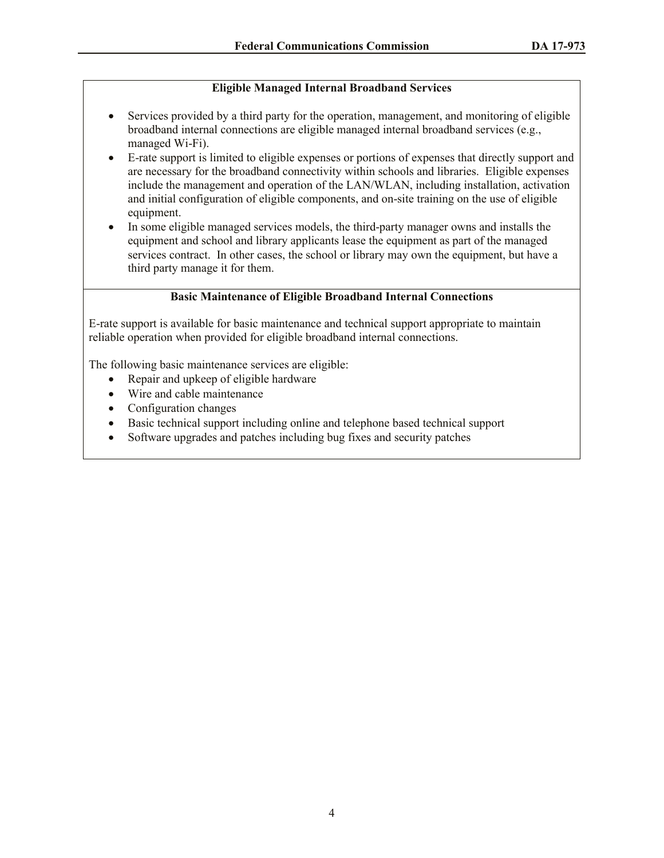## **Eligible Managed Internal Broadband Services**

- Services provided by a third party for the operation, management, and monitoring of eligible broadband internal connections are eligible managed internal broadband services (e.g., managed Wi-Fi).
- E-rate support is limited to eligible expenses or portions of expenses that directly support and are necessary for the broadband connectivity within schools and libraries. Eligible expenses include the management and operation of the LAN/WLAN, including installation, activation and initial configuration of eligible components, and on-site training on the use of eligible equipment.
- In some eligible managed services models, the third-party manager owns and installs the equipment and school and library applicants lease the equipment as part of the managed services contract. In other cases, the school or library may own the equipment, but have a third party manage it for them.

#### **Basic Maintenance of Eligible Broadband Internal Connections**

E-rate support is available for basic maintenance and technical support appropriate to maintain reliable operation when provided for eligible broadband internal connections.

The following basic maintenance services are eligible:

- Repair and upkeep of eligible hardware
- Wire and cable maintenance
- Configuration changes
- Basic technical support including online and telephone based technical support
- Software upgrades and patches including bug fixes and security patches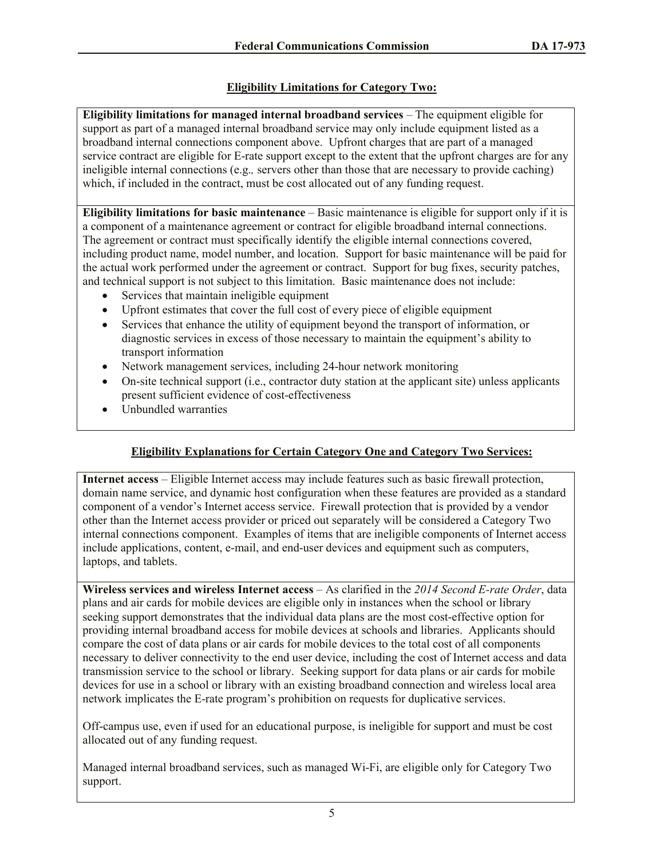# **Eligibility Limitations for Category Two:**

**Eligibility limitations for managed internal broadband services** – The equipment eligible for support as part of a managed internal broadband service may only include equipment listed as a broadband internal connections component above. Upfront charges that are part of a managed service contract are eligible for E-rate support except to the extent that the upfront charges are for any ineligible internal connections (e.g.*,* servers other than those that are necessary to provide caching) which, if included in the contract, must be cost allocated out of any funding request.

**Eligibility limitations for basic maintenance** – Basic maintenance is eligible for support only if it is a component of a maintenance agreement or contract for eligible broadband internal connections. The agreement or contract must specifically identify the eligible internal connections covered, including product name, model number, and location. Support for basic maintenance will be paid for the actual work performed under the agreement or contract. Support for bug fixes, security patches, and technical support is not subject to this limitation. Basic maintenance does not include:

- Services that maintain ineligible equipment
- Upfront estimates that cover the full cost of every piece of eligible equipment
- Services that enhance the utility of equipment beyond the transport of information, or diagnostic services in excess of those necessary to maintain the equipment's ability to transport information
- Network management services, including 24-hour network monitoring
- On-site technical support (i.e., contractor duty station at the applicant site) unless applicants present sufficient evidence of cost-effectiveness
- Unbundled warranties

# **Eligibility Explanations for Certain Category One and Category Two Services:**

**Internet access** – Eligible Internet access may include features such as basic firewall protection, domain name service, and dynamic host configuration when these features are provided as a standard component of a vendor's Internet access service. Firewall protection that is provided by a vendor other than the Internet access provider or priced out separately will be considered a Category Two internal connections component. Examples of items that are ineligible components of Internet access include applications, content, e-mail, and end-user devices and equipment such as computers, laptops, and tablets.

**Wireless services and wireless Internet access** – As clarified in the *2014 Second E-rate Order*, data plans and air cards for mobile devices are eligible only in instances when the school or library seeking support demonstrates that the individual data plans are the most cost-effective option for providing internal broadband access for mobile devices at schools and libraries. Applicants should compare the cost of data plans or air cards for mobile devices to the total cost of all components necessary to deliver connectivity to the end user device, including the cost of Internet access and data transmission service to the school or library. Seeking support for data plans or air cards for mobile devices for use in a school or library with an existing broadband connection and wireless local area network implicates the E-rate program's prohibition on requests for duplicative services.

Off-campus use, even if used for an educational purpose, is ineligible for support and must be cost allocated out of any funding request.

Managed internal broadband services, such as managed Wi-Fi, are eligible only for Category Two support.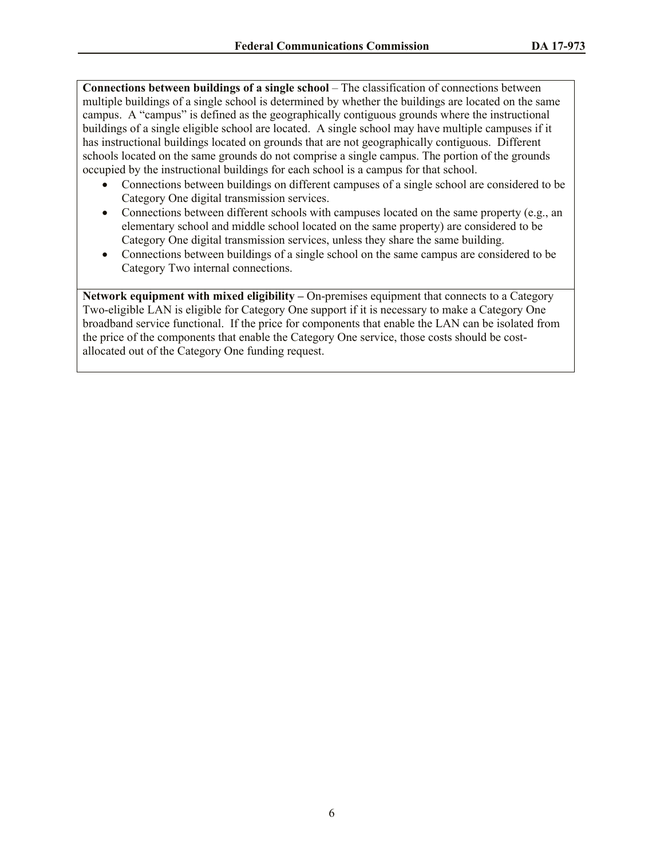**Connections between buildings of a single school** – The classification of connections between multiple buildings of a single school is determined by whether the buildings are located on the same campus. A "campus" is defined as the geographically contiguous grounds where the instructional buildings of a single eligible school are located. A single school may have multiple campuses if it has instructional buildings located on grounds that are not geographically contiguous. Different schools located on the same grounds do not comprise a single campus. The portion of the grounds occupied by the instructional buildings for each school is a campus for that school.

- Connections between buildings on different campuses of a single school are considered to be Category One digital transmission services.
- Connections between different schools with campuses located on the same property (e.g., an elementary school and middle school located on the same property) are considered to be Category One digital transmission services, unless they share the same building.
- Connections between buildings of a single school on the same campus are considered to be Category Two internal connections.

**Network equipment with mixed eligibility –** On-premises equipment that connects to a Category Two-eligible LAN is eligible for Category One support if it is necessary to make a Category One broadband service functional. If the price for components that enable the LAN can be isolated from the price of the components that enable the Category One service, those costs should be costallocated out of the Category One funding request.